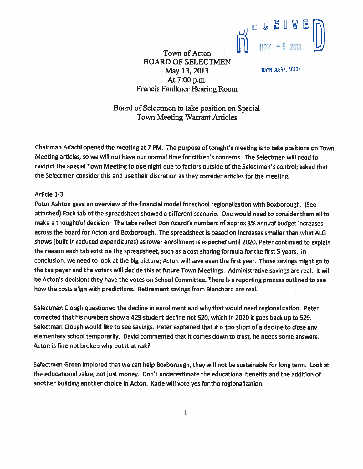

BOARD OF SELECTMEN May 13, 2013 TOWN CLERK, ACTON At 7:00 p.m. Francis Faulkner Hearing Room

Board of Selectmen to take position on Special Town Meeting Warrant Articles

Town of Acton

Chairman Adachi opene<sup>d</sup> the meeting at 7PM. The purpose of tonight's meeting is to take positions on Town Meeting articles, so we will not have our normal time for citizen's concerns. The Selectmen will need to restrict the special Town Meeting to one night due to factors outside of the Selectmen's control; asked that the Selectmen consider this and use their discretion as they consider articles for the meeting.

## Article 1-3

Peter Ashton gave an overview of the financial model for school regionalization with Boxborough. (See attached) Each tab of the spreadsheet showed <sup>a</sup> different scenario. One would need to consider them all to make <sup>a</sup> thoughtful decision. The tabs reflect Don Acardi's numbers of approx 3% annual budget increases across the board for Acton and Boxborough. The spreadsheet is based on increases smaller than what ALG shows (built in reduced expenditures) as lower enrollment is expected until 2020. Peter continued to explain the reason each tab exist on the spreadsheet, such as a cost sharing formula for the first 5 years. In conclusion, we need to look at the big <sup>p</sup>icture; Acton will save even the first year. Those savings might go to the tax payer and the voters will decide this at future Town Meetings. Administrative savings are real. It will be Acton's decision; they have the votes on School Committee. There is <sup>a</sup> reporting process outlined to see how the costs align with predictions. Retirement savings from Blanchard are real.

Selectman Clough questioned the decline in enrollment and why that would need regionalization. Peter corrected that his numbers show <sup>a</sup> 429 student decline not 520, which in 2020 it goes back up to 529. Selectman Clough would like to see savings. Peter explained that it is too short of a decline to close any elementary school temporarily. David commented that it comes down to trust, he needs some answers. Acton is fine not broken why pu<sup>t</sup> it at risk?

Selectmen Green implored that we can help Boxborough, they will not be sustainable for long term. Look at the educational value, not just money. Don't underestimate the educational benefits and the addition of another building another choice in Acton. Katie will vote yes for the regionalization.

1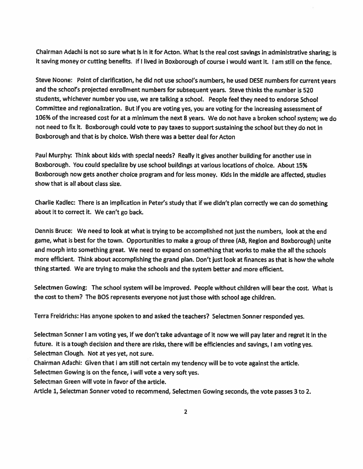Chairman Adachi is not so sure what Is in it for Acton. What Is the real cost savings in administrative sharing; is it saving money or cutting benefits. If I lived in Boxborough of course I would want it. I am still on the fence.

Steve Noone: Point of clarification, he did not use school's numbers, he used DESE numbers for current years and the school's projected enrollment numbers for subsequent years. Steve thinks the number is 520 students, whichever number you use, we are talking <sup>a</sup> school. People feel they need to endorse School Committee and regionalization. But if you are voting yes, you are voting for the increasing assessment of 106% of the increased cost for at <sup>a</sup> minimum the next <sup>8</sup> years. We do not have <sup>a</sup> broken school system; we do not need to fix it. Boxborough could vote to pay taxes to suppor<sup>t</sup> sustaining the school but they do not in Boxborough and that is by choice. Wish there was <sup>a</sup> better deal for Acton

Paul Murphy: Think about kids with special needs? Really it <sup>g</sup>ives another building for another use in Boxborough. You could specialize by use school buildings at various locations of choice. About 15% Boxborough now gets another choice program and for less money. Kids in the middle are affected, studies show that is all about class size.

Charlie Kadlec: There is an implication in Peter's study that if we didn't plan correctly we can do something about it to correct it. We can't go back.

Dennis Bruce: We need to look at what is trying to be accomplished not just the numbers, look at the end game, what is best for the town. Opportunities to make <sup>a</sup> group of three (AS, Region and Boxborough) unite and morph into something great. We need to expand on something that works to make the all the schools more efficient. Think about accomplishing the gran<sup>d</sup> <sup>p</sup>lan. Don't just look at finances as that is how the whole thing started. We are trying to make the schools and the system better and more efficient.

Selectmen Gowing: The school system will be improved. People without children will bear the cost. What is the cost to them? The SOS represents everyone not just those with school age children.

Terra Freidrichs: Has anyone spoken to and asked the teachers? Selectmen Sonner responded yes.

Selectman Sonner <sup>I</sup> am voting yes, if we don't take advantage of it now we will pay later and regre<sup>t</sup> it in the future. It is a tough decision and there are risks, there will be efficiencies and savings, I am voting yes. Selectman Clough. Not at yes yet, not sure.

Chairman Adachi: Given that <sup>I</sup> am still not certain my tendency will be to vote against the article.

Selectmen Gowing is on the fence, <sup>I</sup> will vote <sup>a</sup> very soft yes.

Selectman Green will vote in favor of the article.

Article 1, Selectman Sonner voted to recommend, Selectmen Gowing seconds, the vote passes 3 to 2.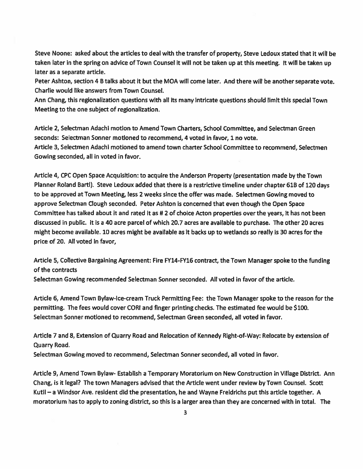Steve Noone: asked about the articles to deal with the transfer of property, Steve Ledoux stated that it will be taken later in the spring on advice of Town Counsel it will not be taken up at this meeting. It will be taken up later as <sup>a</sup> separate article.

Peter Ashton, section 4 B talks about it but the MOA will come later. And there will be another separate vote. Charlie would like answers from Town Counsel.

Ann Chang, this regionalization questions with all its many intricate questions should limit this special Town Meeting to the one subject of regionalization.

Article 2, Selectman Adachi motion to Amend Town Charters, School Committee, and Selectman Green seconds: Selectman Sonner motioned to recommend, 4 voted in favor, 1 no vote. Article 3, Selectmen Adachi motioned to amend town charter School Committee to recommend, Selectmen Gowing seconded, all in voted in favor.

Article 4, CPC Open Space Acquisition: to acquire the Anderson Property (presentation made by the Town Planner Roland BartI). Steve Ledoux added that there is <sup>a</sup> restrictive timeline under chapter 61B of 120 days to be approved at Town Meeting, less 2 weeks since the offer was made. Selectmen Gowing moved to approve Selectman Clough seconded. Peter Ashton Is concerned that even though the Open Space Committee has talked about it and rated it as #2 of choice Acton properties over the years, it has not been discussed in public. It is <sup>a</sup> 40 acre parcel of which 20.7 acres are available to purchase. The other 20 acres might become available. 10 acres might be available as it backs up to wetlands so really is 30 acres for the price of 20. All voted in favor,

Article 5, Collective Bargaining Agreement: Fire FY14-FY16 contract, the Town Manager spoke to the funding of the contracts

Selectman Gowing recommended Selectman Sonner seconded. All voted in favor of the article.

Article 6, Amend Town Bylaw-Ice-cream Truck Permitting Fee: the Town Manager spoke to the reason for the permitting. The fees would cover CORI and finger printing checks. The estimated fee would be \$100. Selectman Sonner motioned to recommend, Selectman Green seconded, all voted in favor.

Article 7 and 8, Extension of Quarry Road and Relocation of Kennedy Right-of-Way: Relocate by extension of Quarry Road.

Selectman Gowing moved to recommend, Selectman Sonner seconded, all voted in favor.

Article 9, Amend Town Bylaw- Establish <sup>a</sup> Temporary Moratorium on New Construction in Village District. Ann Chang, is ft legal? The town Managers advised that the Article went under review by Town Counsel. Scott Kutil — <sup>a</sup> Windsor Ave. resident did the presentation, he and Wayne Freidrichs pu<sup>t</sup> this article together. A moratorium has to apply to zoning district, so this is <sup>a</sup> larger area than they are concerned with in total. The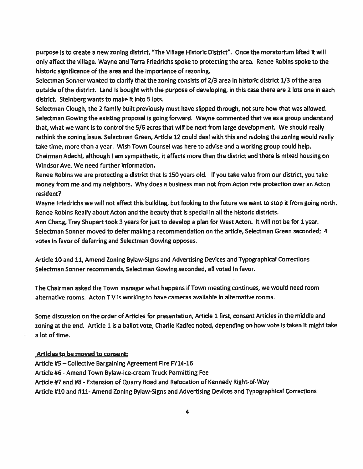purpose is to create <sup>a</sup> new zoning district, "The Village Historic District". Once the moratorium lifted it will only affect the village. Wayne and Terra Friedrichs spoke to protecting the area. Renee Robins spoke to the historic significance of the area and the importance of rezoning.

Selectman Sonner wanted to clarify that the zoning consists of 2/3 area in historic district 1/3 of the area outside of the district. Land is bought with the purpose of developing, in this case there are 2 lots one in each district. Steinberg wants to make it into 5 lots.

Selectman Clough, the 2 family built previously must have slipped through, not sure how that was allowed. Selectman Gowing the existing proposal is going forward, Wayne commented that we as <sup>a</sup> group understand that, what we want is to control the 5/6 acres that will be next from large development. We should really rethink the zoning issue. Selectman Green, Article 12 could deal with this and redoing the zoning would really take time, more than <sup>a</sup> year. Wish Town Counsel was here to advise and <sup>a</sup> working group could help. Chairman Adachi, although I am sympathetic, it affects more than the district and there is mixed housing on Windsor Ave. We need further information.

Renee Robins we are protecting <sup>a</sup> district that is <sup>150</sup> years old. if you take value from our district, you take money from me and my neighbors. Why does <sup>a</sup> business man not from Acton rate protection over an Acton resident?

Wayne Friedrichs we will not affect this building, but looking to the future we want to stop it from going north. Renee Robins Really about Acton and the beauty that is special in all the historic districts.

Ann Chang, Trey Shupert took 3 years for just to develop <sup>a</sup> plan for West Acton. It will not be for 1 year. Selectman Sonner moved to defer making <sup>a</sup> recommendation on the article, Selectman Green seconded; 4 votes in favor of deferring and Selectman Gowing opposes.

Article 10 and 11, Amend Zoning Bylaw-Signs and Advertising Devices and Typographical Corrections Selectman Sonner recommends, Selectman Gowing seconded, all voted in favor.

The Chairman asked the Town manager what happens if Town meeting continues, we would need room alternative rooms. Acton TV is working to have cameras available in alternative rooms.

Some discussion on the order of Articles for presentation, Article 1 first consent Articles in the middle and zoning at the end. Article 1 is a ballot vote, Charlie Kadlec noted, depending on how vote is taken it might take <sup>a</sup> lot of time.

## Articles to be moved to consent:

Article #5 — Collective Bargaining Agreement Fire FY14-16 Article #6 -Amend Town Bylaw-Ice-cream Truck Permitting Fee Article #7 and #8 -Extension of Quarry Road and Relocation of Kennedy Right-of-Way Article #10 and #11- Amend Zoning Bylaw-Signs and Advertising Devices and Typographical Corrections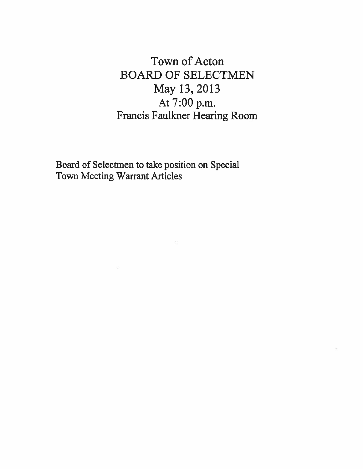Town of Acton BOARD OF SELECTMEN May 13, 2013 At 7:00 p.m. Francis Faulkner Hearing Room

Board of Selectmen to take position on Special Town Meeting Warrant Articles